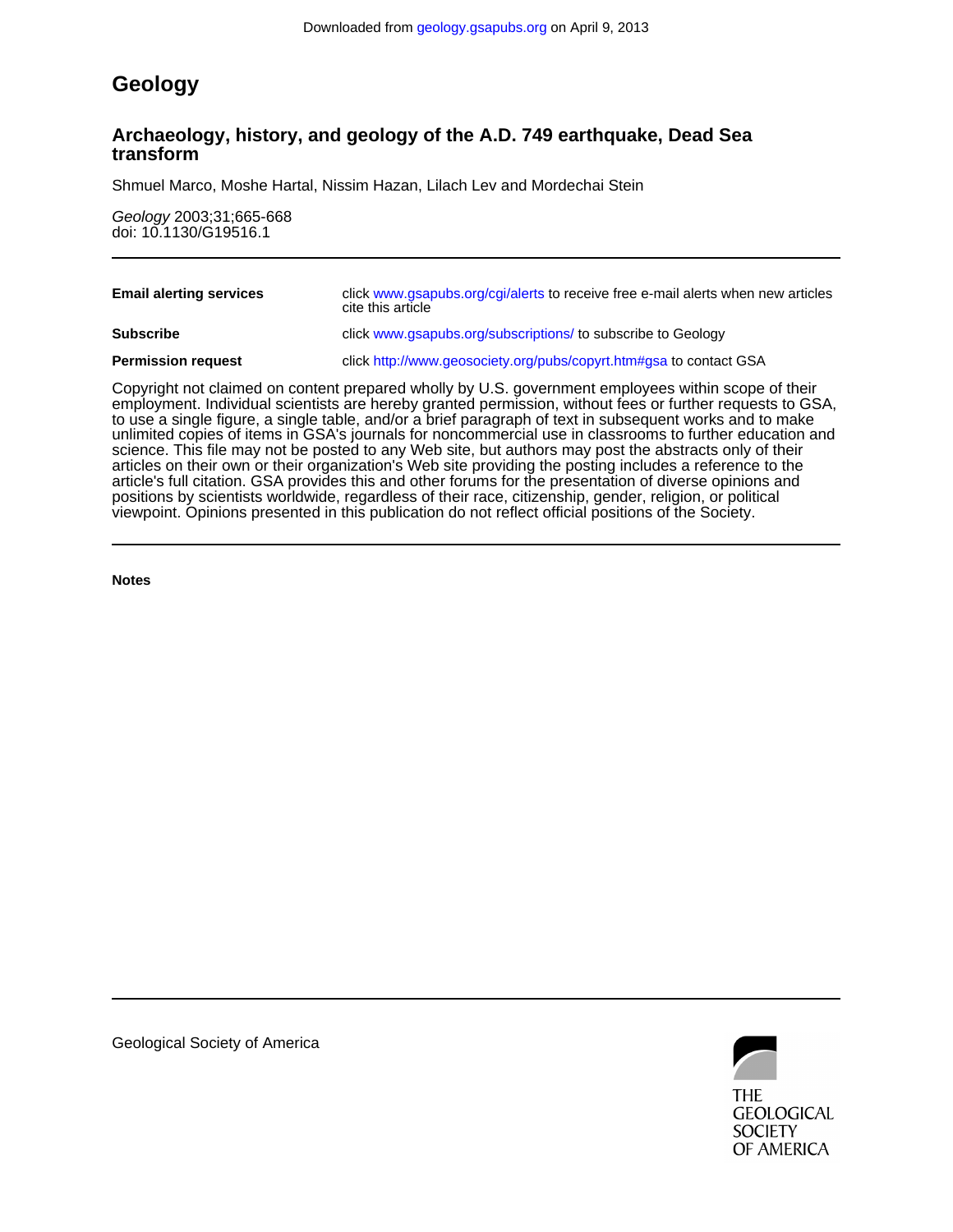# **Geology**

## **transform Archaeology, history, and geology of the A.D. 749 earthquake, Dead Sea**

Shmuel Marco, Moshe Hartal, Nissim Hazan, Lilach Lev and Mordechai Stein

doi: 10.1130/G19516.1 Geology 2003;31;665-668

| <b>Email alerting services</b> | click www.gsapubs.org/cgi/alerts to receive free e-mail alerts when new articles<br>cite this article |
|--------------------------------|-------------------------------------------------------------------------------------------------------|
| <b>Subscribe</b>               | click www.gsapubs.org/subscriptions/ to subscribe to Geology                                          |
| <b>Permission request</b>      | click http://www.geosociety.org/pubs/copyrt.htm#gsa to contact GSA                                    |
|                                |                                                                                                       |

viewpoint. Opinions presented in this publication do not reflect official positions of the Society. positions by scientists worldwide, regardless of their race, citizenship, gender, religion, or political article's full citation. GSA provides this and other forums for the presentation of diverse opinions and articles on their own or their organization's Web site providing the posting includes a reference to the science. This file may not be posted to any Web site, but authors may post the abstracts only of their unlimited copies of items in GSA's journals for noncommercial use in classrooms to further education and to use a single figure, a single table, and/or a brief paragraph of text in subsequent works and to make employment. Individual scientists are hereby granted permission, without fees or further requests to GSA, Copyright not claimed on content prepared wholly by U.S. government employees within scope of their

**Notes**



Geological Society of America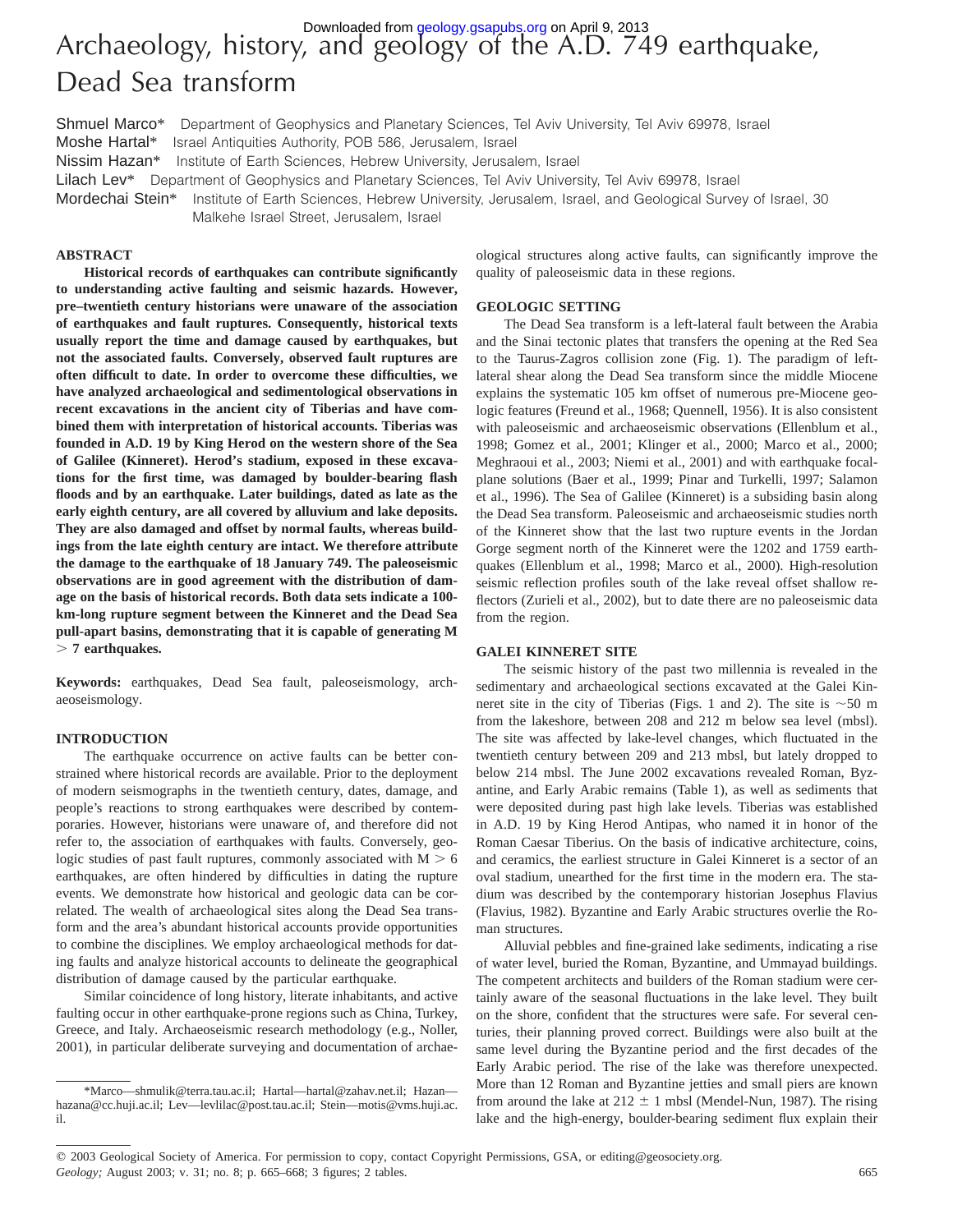# Archaeology, history, and geology of the A.D. 749 earthquake, Dead Sea transform Downloaded from [geology.gsapubs.org](http://geology.gsapubs.org/) on April 9, 2013

Shmuel Marco\* Department of Geophysics and Planetary Sciences, Tel Aviv University, Tel Aviv 69978, Israel Moshe Hartal\* Israel Antiquities Authority, POB 586, Jerusalem, Israel Nissim Hazan\* Institute of Earth Sciences, Hebrew University, Jerusalem, Israel Lilach Lev\* Department of Geophysics and Planetary Sciences, Tel Aviv University, Tel Aviv 69978, Israel Mordechai Stein\* Institute of Earth Sciences, Hebrew University, Jerusalem, Israel, and Geological Survey of Israel, 30 Malkehe Israel Street, Jerusalem, Israel

### **ABSTRACT**

**Historical records of earthquakes can contribute significantly to understanding active faulting and seismic hazards. However, pre–twentieth century historians were unaware of the association of earthquakes and fault ruptures. Consequently, historical texts usually report the time and damage caused by earthquakes, but not the associated faults. Conversely, observed fault ruptures are often difficult to date. In order to overcome these difficulties, we have analyzed archaeological and sedimentological observations in recent excavations in the ancient city of Tiberias and have combined them with interpretation of historical accounts. Tiberias was founded in A.D. 19 by King Herod on the western shore of the Sea of Galilee (Kinneret). Herod's stadium, exposed in these excavations for the first time, was damaged by boulder-bearing flash floods and by an earthquake. Later buildings, dated as late as the early eighth century, are all covered by alluvium and lake deposits. They are also damaged and offset by normal faults, whereas buildings from the late eighth century are intact. We therefore attribute the damage to the earthquake of 18 January 749. The paleoseismic observations are in good agreement with the distribution of damage on the basis of historical records. Both data sets indicate a 100 km-long rupture segment between the Kinneret and the Dead Sea pull-apart basins, demonstrating that it is capable of generating M** . **7 earthquakes.**

**Keywords:** earthquakes, Dead Sea fault, paleoseismology, archaeoseismology.

#### **INTRODUCTION**

The earthquake occurrence on active faults can be better constrained where historical records are available. Prior to the deployment of modern seismographs in the twentieth century, dates, damage, and people's reactions to strong earthquakes were described by contemporaries. However, historians were unaware of, and therefore did not refer to, the association of earthquakes with faults. Conversely, geologic studies of past fault ruptures, commonly associated with  $M > 6$ earthquakes, are often hindered by difficulties in dating the rupture events. We demonstrate how historical and geologic data can be correlated. The wealth of archaeological sites along the Dead Sea transform and the area's abundant historical accounts provide opportunities to combine the disciplines. We employ archaeological methods for dating faults and analyze historical accounts to delineate the geographical distribution of damage caused by the particular earthquake.

Similar coincidence of long history, literate inhabitants, and active faulting occur in other earthquake-prone regions such as China, Turkey, Greece, and Italy. Archaeoseismic research methodology (e.g., Noller, 2001), in particular deliberate surveying and documentation of archae-

ological structures along active faults, can significantly improve the quality of paleoseismic data in these regions.

#### **GEOLOGIC SETTING**

The Dead Sea transform is a left-lateral fault between the Arabia and the Sinai tectonic plates that transfers the opening at the Red Sea to the Taurus-Zagros collision zone (Fig. 1). The paradigm of leftlateral shear along the Dead Sea transform since the middle Miocene explains the systematic 105 km offset of numerous pre-Miocene geologic features (Freund et al., 1968; Quennell, 1956). It is also consistent with paleoseismic and archaeoseismic observations (Ellenblum et al., 1998; Gomez et al., 2001; Klinger et al., 2000; Marco et al., 2000; Meghraoui et al., 2003; Niemi et al., 2001) and with earthquake focalplane solutions (Baer et al., 1999; Pinar and Turkelli, 1997; Salamon et al., 1996). The Sea of Galilee (Kinneret) is a subsiding basin along the Dead Sea transform. Paleoseismic and archaeoseismic studies north of the Kinneret show that the last two rupture events in the Jordan Gorge segment north of the Kinneret were the 1202 and 1759 earthquakes (Ellenblum et al., 1998; Marco et al., 2000). High-resolution seismic reflection profiles south of the lake reveal offset shallow reflectors (Zurieli et al., 2002), but to date there are no paleoseismic data from the region.

#### **GALEI KINNERET SITE**

The seismic history of the past two millennia is revealed in the sedimentary and archaeological sections excavated at the Galei Kinneret site in the city of Tiberias (Figs. 1 and 2). The site is  $\sim$  50 m from the lakeshore, between 208 and 212 m below sea level (mbsl). The site was affected by lake-level changes, which fluctuated in the twentieth century between 209 and 213 mbsl, but lately dropped to below 214 mbsl. The June 2002 excavations revealed Roman, Byzantine, and Early Arabic remains (Table 1), as well as sediments that were deposited during past high lake levels. Tiberias was established in A.D. 19 by King Herod Antipas, who named it in honor of the Roman Caesar Tiberius. On the basis of indicative architecture, coins, and ceramics, the earliest structure in Galei Kinneret is a sector of an oval stadium, unearthed for the first time in the modern era. The stadium was described by the contemporary historian Josephus Flavius (Flavius, 1982). Byzantine and Early Arabic structures overlie the Roman structures.

Alluvial pebbles and fine-grained lake sediments, indicating a rise of water level, buried the Roman, Byzantine, and Ummayad buildings. The competent architects and builders of the Roman stadium were certainly aware of the seasonal fluctuations in the lake level. They built on the shore, confident that the structures were safe. For several centuries, their planning proved correct. Buildings were also built at the same level during the Byzantine period and the first decades of the Early Arabic period. The rise of the lake was therefore unexpected. More than 12 Roman and Byzantine jetties and small piers are known from around the lake at  $212 \pm 1$  mbsl (Mendel-Nun, 1987). The rising lake and the high-energy, boulder-bearing sediment flux explain their

<sup>\*</sup>Marco—shmulik@terra.tau.ac.il; Hartal—hartal@zahav.net.il; Hazan hazana@cc.huji.ac.il; Lev—levlilac@post.tau.ac.il; Stein—motis@vms.huji.ac. il.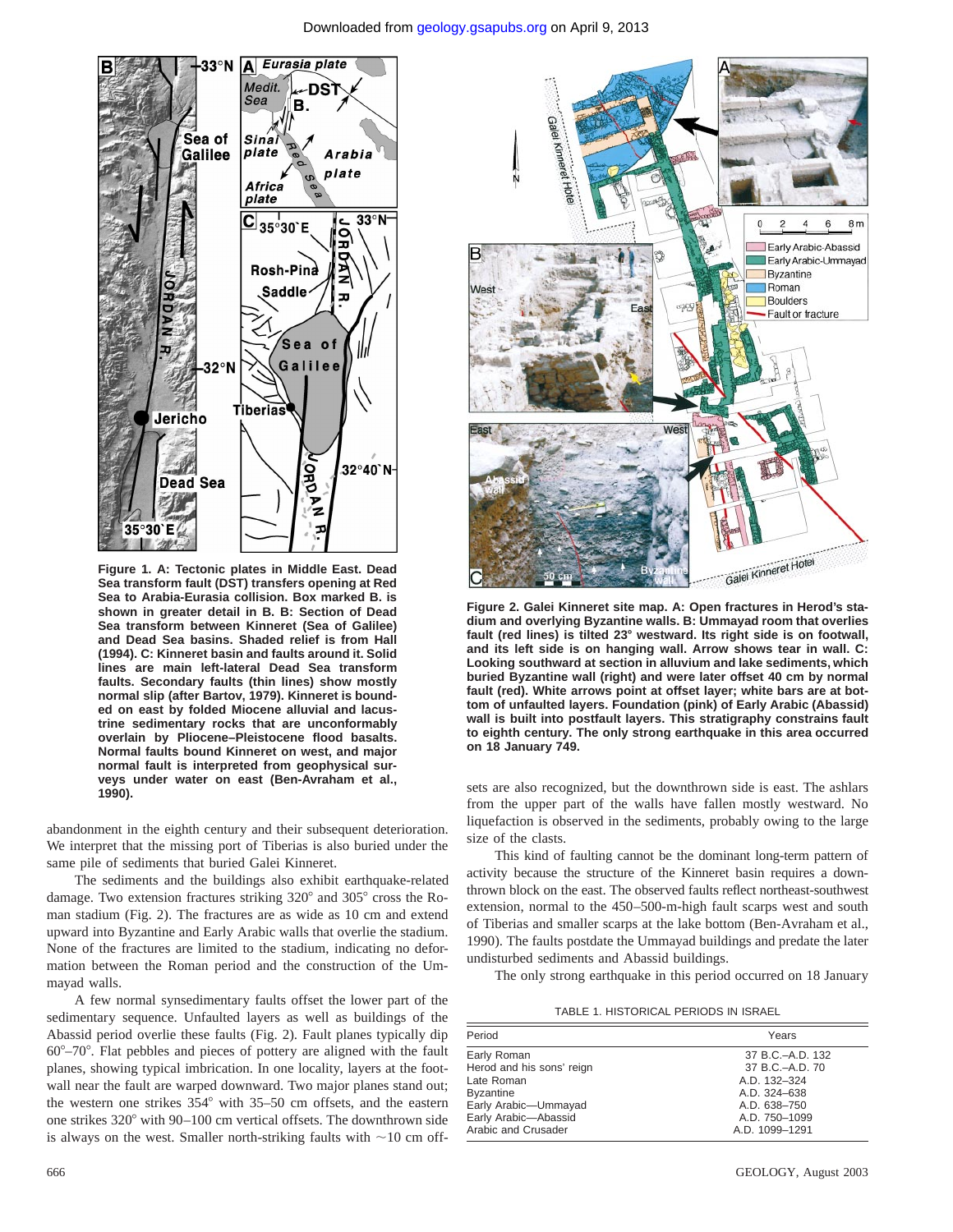

**Figure 1. A: Tectonic plates in Middle East. Dead Sea transform fault (DST) transfers opening at Red Sea to Arabia-Eurasia collision. Box marked B. is shown in greater detail in B. B: Section of Dead Sea transform between Kinneret (Sea of Galilee) and Dead Sea basins. Shaded relief is from Hall (1994). C: Kinneret basin and faults around it. Solid lines are main left-lateral Dead Sea transform faults. Secondary faults (thin lines) show mostly normal slip (after Bartov, 1979). Kinneret is bounded on east by folded Miocene alluvial and lacustrine sedimentary rocks that are unconformably overlain by Pliocene–Pleistocene flood basalts. Normal faults bound Kinneret on west, and major normal fault is interpreted from geophysical surveys under water on east (Ben-Avraham et al., 1990).**

abandonment in the eighth century and their subsequent deterioration. We interpret that the missing port of Tiberias is also buried under the same pile of sediments that buried Galei Kinneret.

The sediments and the buildings also exhibit earthquake-related damage. Two extension fractures striking 320° and 305° cross the Roman stadium (Fig. 2). The fractures are as wide as 10 cm and extend upward into Byzantine and Early Arabic walls that overlie the stadium. None of the fractures are limited to the stadium, indicating no deformation between the Roman period and the construction of the Ummayad walls.

A few normal synsedimentary faults offset the lower part of the sedimentary sequence. Unfaulted layers as well as buildings of the Abassid period overlie these faults (Fig. 2). Fault planes typically dip  $60^{\circ}-70^{\circ}$ . Flat pebbles and pieces of pottery are aligned with the fault planes, showing typical imbrication. In one locality, layers at the footwall near the fault are warped downward. Two major planes stand out; the western one strikes  $354^\circ$  with  $35-50$  cm offsets, and the eastern one strikes  $320^{\circ}$  with  $90-100$  cm vertical offsets. The downthrown side is always on the west. Smaller north-striking faults with  $\sim$ 10 cm off-



**Figure 2. Galei Kinneret site map. A: Open fractures in Herod's stadium and overlying Byzantine walls. B: Ummayad room that overlies fault (red lines) is tilted 23**8 **westward. Its right side is on footwall, and its left side is on hanging wall. Arrow shows tear in wall. C: Looking southward at section in alluvium and lake sediments, which buried Byzantine wall (right) and were later offset 40 cm by normal fault (red). White arrows point at offset layer; white bars are at bottom of unfaulted layers. Foundation (pink) of Early Arabic (Abassid) wall is built into postfault layers. This stratigraphy constrains fault to eighth century. The only strong earthquake in this area occurred on 18 January 749.**

sets are also recognized, but the downthrown side is east. The ashlars from the upper part of the walls have fallen mostly westward. No liquefaction is observed in the sediments, probably owing to the large size of the clasts.

This kind of faulting cannot be the dominant long-term pattern of activity because the structure of the Kinneret basin requires a downthrown block on the east. The observed faults reflect northeast-southwest extension, normal to the 450–500-m-high fault scarps west and south of Tiberias and smaller scarps at the lake bottom (Ben-Avraham et al., 1990). The faults postdate the Ummayad buildings and predate the later undisturbed sediments and Abassid buildings.

The only strong earthquake in this period occurred on 18 January

TABLE 1. HISTORICAL PERIODS IN ISRAEL

| Period                    | Years            |
|---------------------------|------------------|
| Early Roman               | 37 B.C.-A.D. 132 |
| Herod and his sons' reign | 37 B.C.-A.D. 70  |
| Late Roman                | A.D. 132-324     |
| <b>Byzantine</b>          | A.D. 324-638     |
| Early Arabic-Ummayad      | A.D. 638-750     |
| Early Arabic-Abassid      | A.D. 750-1099    |
| Arabic and Crusader       | A.D. 1099-1291   |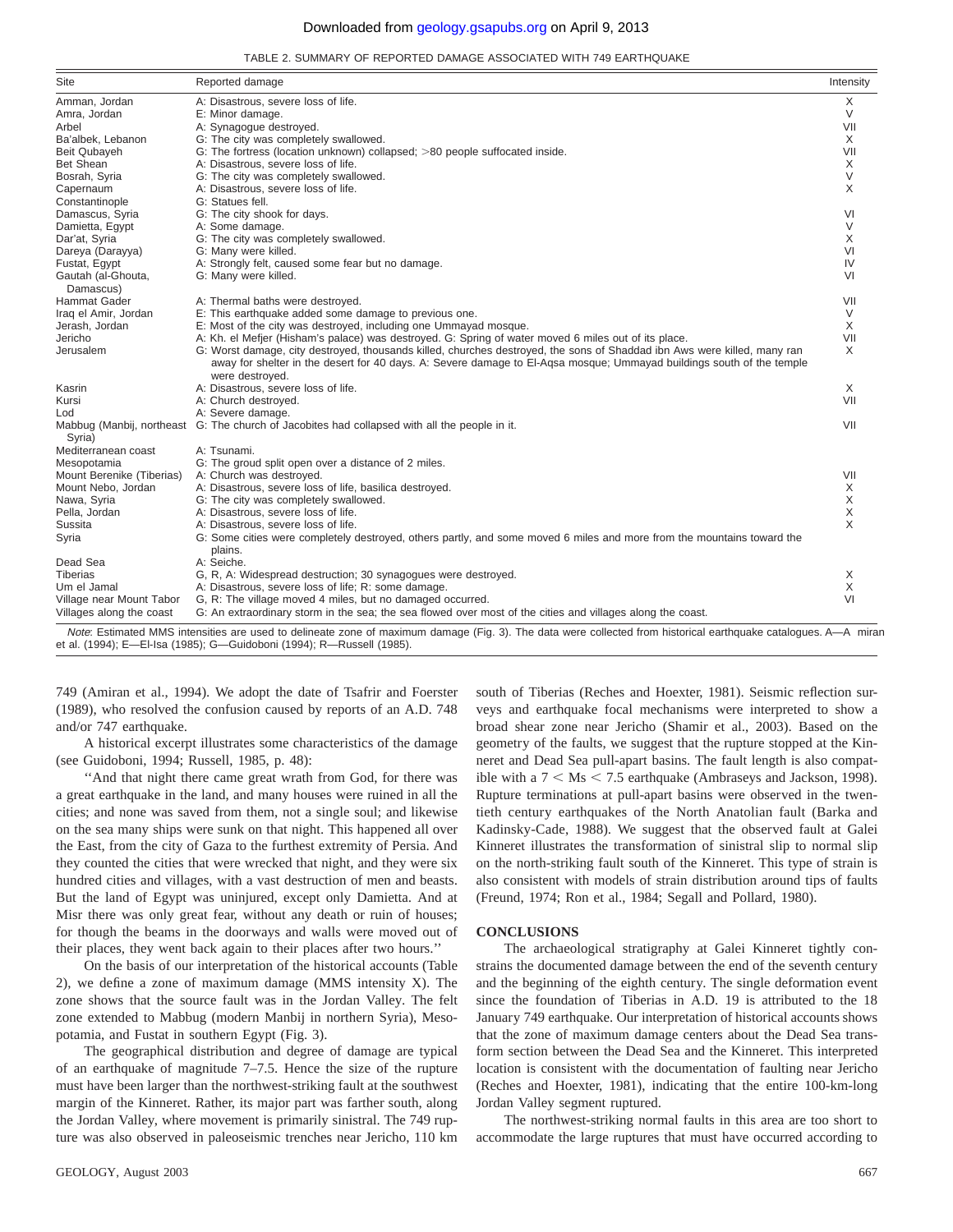#### Downloaded from [geology.gsapubs.org](http://geology.gsapubs.org/) on April 9, 2013

TABLE 2. SUMMARY OF REPORTED DAMAGE ASSOCIATED WITH 749 EARTHQUAKE

| Amman, Jordan                   |                                                                                                                                                                                                                                                                      |          |
|---------------------------------|----------------------------------------------------------------------------------------------------------------------------------------------------------------------------------------------------------------------------------------------------------------------|----------|
|                                 | A: Disastrous, severe loss of life.                                                                                                                                                                                                                                  | X        |
| Amra, Jordan                    | E: Minor damage.                                                                                                                                                                                                                                                     |          |
| Arbel                           | A: Synagogue destroyed.                                                                                                                                                                                                                                              | VII      |
| Ba'albek, Lebanon               | G: The city was completely swallowed.                                                                                                                                                                                                                                | X        |
| Beit Qubayeh                    | G: The fortress (location unknown) collapsed; >80 people suffocated inside.                                                                                                                                                                                          | VII      |
| Bet Shean                       | A: Disastrous, severe loss of life.                                                                                                                                                                                                                                  | X        |
| Bosrah, Syria                   | G: The city was completely swallowed.                                                                                                                                                                                                                                | $\vee$   |
| Capernaum                       | A: Disastrous, severe loss of life.                                                                                                                                                                                                                                  | X        |
| Constantinople                  | G: Statues fell.                                                                                                                                                                                                                                                     |          |
| Damascus, Syria                 | G: The city shook for days.                                                                                                                                                                                                                                          | VI       |
| Damietta, Egypt                 | A: Some damage.                                                                                                                                                                                                                                                      | $\vee$   |
| Dar'at, Syria                   | G: The city was completely swallowed.                                                                                                                                                                                                                                | X        |
| Dareya (Darayya)                | G: Many were killed.                                                                                                                                                                                                                                                 | VI       |
| Fustat, Egypt                   | A: Strongly felt, caused some fear but no damage.                                                                                                                                                                                                                    | IV       |
| Gautah (al-Ghouta,<br>Damascus) | G: Many were killed.                                                                                                                                                                                                                                                 | VI       |
| <b>Hammat Gader</b>             | A: Thermal baths were destroyed.                                                                                                                                                                                                                                     | VII      |
| Iraq el Amir, Jordan            | E: This earthquake added some damage to previous one.                                                                                                                                                                                                                | $\vee$   |
| Jerash, Jordan                  | E: Most of the city was destroyed, including one Ummayad mosque.                                                                                                                                                                                                     | X        |
| Jericho                         | A: Kh. el Mefjer (Hisham's palace) was destroyed. G: Spring of water moved 6 miles out of its place.                                                                                                                                                                 | VII      |
| Jerusalem                       | G: Worst damage, city destroyed, thousands killed, churches destroyed, the sons of Shaddad ibn Aws were killed, many ran<br>away for shelter in the desert for 40 days. A: Severe damage to El-Aqsa mosque; Ummayad buildings south of the temple<br>were destroyed. | X        |
| Kasrin                          | A: Disastrous, severe loss of life.                                                                                                                                                                                                                                  | $\times$ |
| Kursi                           | A: Church destroyed.                                                                                                                                                                                                                                                 | VII      |
| Lod                             | A: Severe damage.                                                                                                                                                                                                                                                    |          |
| Syria)                          | Mabbug (Manbij, northeast G: The church of Jacobites had collapsed with all the people in it.                                                                                                                                                                        | VII      |
| Mediterranean coast             | A: Tsunami.                                                                                                                                                                                                                                                          |          |
| Mesopotamia                     | G: The groud split open over a distance of 2 miles.                                                                                                                                                                                                                  |          |
| Mount Berenike (Tiberias)       | A: Church was destroyed.                                                                                                                                                                                                                                             | VII      |
| Mount Nebo. Jordan              | A: Disastrous, severe loss of life, basilica destroyed.                                                                                                                                                                                                              | X        |
| Nawa, Syria                     | G: The city was completely swallowed.                                                                                                                                                                                                                                | X        |
| Pella, Jordan                   | A: Disastrous, severe loss of life.                                                                                                                                                                                                                                  | X        |
| Sussita                         | A: Disastrous, severe loss of life.                                                                                                                                                                                                                                  | X        |
| Syria                           | G: Some cities were completely destroyed, others partly, and some moved 6 miles and more from the mountains toward the<br>plains.                                                                                                                                    |          |
| Dead Sea                        | A: Seiche.                                                                                                                                                                                                                                                           |          |
| Tiberias                        | G, R, A: Widespread destruction; 30 synagogues were destroyed.                                                                                                                                                                                                       | X        |
| Um el Jamal                     | A: Disastrous, severe loss of life; R: some damage.                                                                                                                                                                                                                  | X        |
| Village near Mount Tabor        | G, R: The village moved 4 miles, but no damaged occurred.                                                                                                                                                                                                            | VI       |
| Villages along the coast        | G: An extraordinary storm in the sea; the sea flowed over most of the cities and villages along the coast.                                                                                                                                                           |          |

749 (Amiran et al., 1994). We adopt the date of Tsafrir and Foerster (1989), who resolved the confusion caused by reports of an A.D. 748 and/or 747 earthquake.

A historical excerpt illustrates some characteristics of the damage (see Guidoboni, 1994; Russell, 1985, p. 48):

"And that night there came great wrath from God, for there was a great earthquake in the land, and many houses were ruined in all the cities; and none was saved from them, not a single soul; and likewise on the sea many ships were sunk on that night. This happened all over the East, from the city of Gaza to the furthest extremity of Persia. And they counted the cities that were wrecked that night, and they were six hundred cities and villages, with a vast destruction of men and beasts. But the land of Egypt was uninjured, except only Damietta. And at Misr there was only great fear, without any death or ruin of houses; for though the beams in the doorways and walls were moved out of their places, they went back again to their places after two hours.''

On the basis of our interpretation of the historical accounts (Table 2), we define a zone of maximum damage (MMS intensity X). The zone shows that the source fault was in the Jordan Valley. The felt zone extended to Mabbug (modern Manbij in northern Syria), Mesopotamia, and Fustat in southern Egypt (Fig. 3).

The geographical distribution and degree of damage are typical of an earthquake of magnitude 7–7.5. Hence the size of the rupture must have been larger than the northwest-striking fault at the southwest margin of the Kinneret. Rather, its major part was farther south, along the Jordan Valley, where movement is primarily sinistral. The 749 rupture was also observed in paleoseismic trenches near Jericho, 110 km

south of Tiberias (Reches and Hoexter, 1981). Seismic reflection surveys and earthquake focal mechanisms were interpreted to show a broad shear zone near Jericho (Shamir et al., 2003). Based on the geometry of the faults, we suggest that the rupture stopped at the Kinneret and Dead Sea pull-apart basins. The fault length is also compatible with a  $7 < Ms < 7.5$  earthquake (Ambraseys and Jackson, 1998). Rupture terminations at pull-apart basins were observed in the twentieth century earthquakes of the North Anatolian fault (Barka and Kadinsky-Cade, 1988). We suggest that the observed fault at Galei Kinneret illustrates the transformation of sinistral slip to normal slip on the north-striking fault south of the Kinneret. This type of strain is also consistent with models of strain distribution around tips of faults (Freund, 1974; Ron et al., 1984; Segall and Pollard, 1980).

#### **CONCLUSIONS**

The archaeological stratigraphy at Galei Kinneret tightly constrains the documented damage between the end of the seventh century and the beginning of the eighth century. The single deformation event since the foundation of Tiberias in A.D. 19 is attributed to the 18 January 749 earthquake. Our interpretation of historical accounts shows that the zone of maximum damage centers about the Dead Sea transform section between the Dead Sea and the Kinneret. This interpreted location is consistent with the documentation of faulting near Jericho (Reches and Hoexter, 1981), indicating that the entire 100-km-long Jordan Valley segment ruptured.

The northwest-striking normal faults in this area are too short to accommodate the large ruptures that must have occurred according to